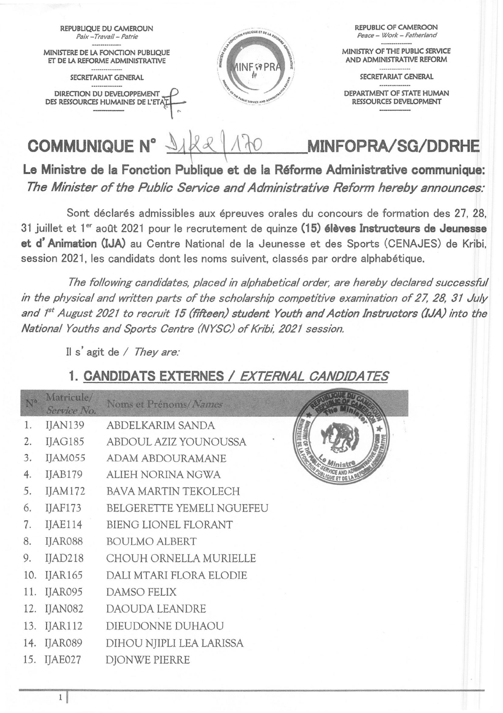

Le Ministre de la Fonction Publique et de la Réforme Administrative communique: *The Minister of the Public Service and Administrative Reform hereby ennounces:* 

Sont déclarés admissibles aux épreuves orales du concours de formation des 27, 28, 31 juillet et 1<sup>er</sup> août 2021 pour le recrutement de quinze (15) élèves Instructeurs de Jeunesse et d'Animation (lJA) au Centre National de la Jeunesse et des Sports (CENAJES) de Kribi, session 2021, les candidats dont les noms suivent, classés par ordre alphabétique.

*The following candidates, placed in a/phabeticalorder, are hereby declared successful in the physical and written parts of the scholarship competitive examination of* 27, 28, 31 *Ju/y and Ist August 2021 to recruit* 15 *(fifteen) student Youth and Action Instructors (/JA) into the National Youths and Sports Centre (NYSC) of Kribi, 2021 session.* 

Il s'agit de / *They are:* 

## 1. CANDIDATS EXTERNES / EXTERNAL CANDIDATES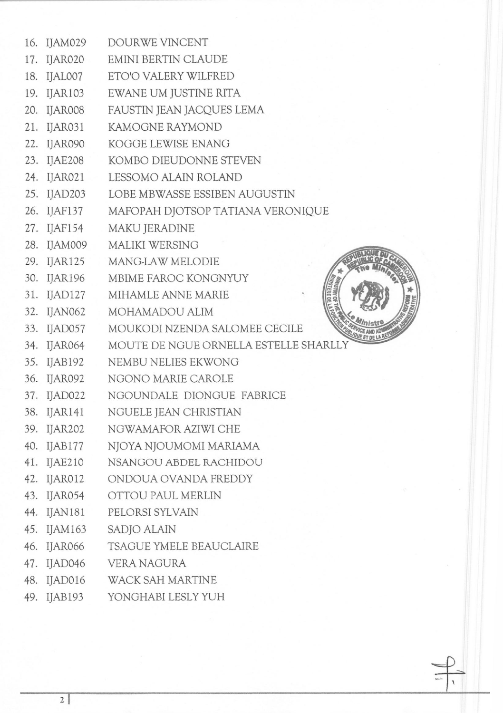|     | 16. IJAM029    | DOURWE VINCENT                        |
|-----|----------------|---------------------------------------|
| 17. | IJAR020        | EMINI BERTIN CLAUDE                   |
|     | 18. IJAL007    | ETO'O VALERY WILFRED                  |
|     | 19. IJAR103    | EWANE UM JUSTINE RITA                 |
|     | 20. IJAR008    | FAUSTIN JEAN JACQUES LEMA             |
|     | 21. IJAR031    | KAMOGNE RAYMOND                       |
|     | 22. IJAR090    | KOGGE LEWISE ENANG                    |
|     | 23. IJAE208    | KOMBO DIEUDONNE STEVEN                |
|     | 24. IJAR021    | LESSOMO ALAIN ROLAND                  |
|     | 25. IJAD203    | LOBE MBWASSE ESSIBEN AUGUSTIN         |
|     | 26. IJAF137    | MAFOPAH DJOTSOP TATIANA VERONIQUE     |
|     | 27. IJAF154    | MAKU JERADINE                         |
|     | 28. IJAM009    | <b>MALIKI WERSING</b>                 |
|     | 29. IJAR125    | MANG-LAW MELODIE                      |
|     | 30. IJAR196    | MBIME FAROC KONGNYUY                  |
|     | 31. IJAD127    | MIHAMLE ANNE MARIE<br>$R_{R}$         |
|     | 32. IJAN062    | MOHAMADOU ALIM                        |
|     | 33. IJAD057    | MOUKODI NZENDA SALOMEE CECILE         |
|     | 34. IJAR064    | MOUTE DE NGUE ORNELLA ESTELLE SHARLLY |
|     | 35. IJAB192    | NEMBU NELIES EKWONG                   |
|     | 36. IJAR092    | NGONO MARIE CAROLE                    |
| 37. | IJAD022        | NGOUNDALE DIONGUE FABRICE             |
|     | 38. IJAR141    | NGUELE JEAN CHRISTIAN                 |
| 39. | IJAR202        | NGWAMAFOR AZIWI CHE                   |
| 40. | IJAB177        | NJOYA NJOUMOMI MARIAMA                |
| 41. | IJAE210        | NSANGOU ABDEL RACHIDOU                |
| 42. | IJAR012        | ONDOUA OVANDA FREDDY                  |
| 43. | IJAR054        | OTTOU PAUL MERLIN                     |
| 44. | <b>IJAN181</b> | PELORSI SYLVAIN                       |
| 45. | IJAM163        | <b>SADJO ALAIN</b>                    |
| 46. | IJAR066        | TSAGUE YMELE BEAUCLAIRE               |
| 47. | IJAD046        | <b>VERA NAGURA</b>                    |
| 48. | IJAD016        | <b>WACK SAH MARTINE</b>               |
|     | 49. IJAB193    | YONGHABI LESLY YUH                    |
|     |                |                                       |